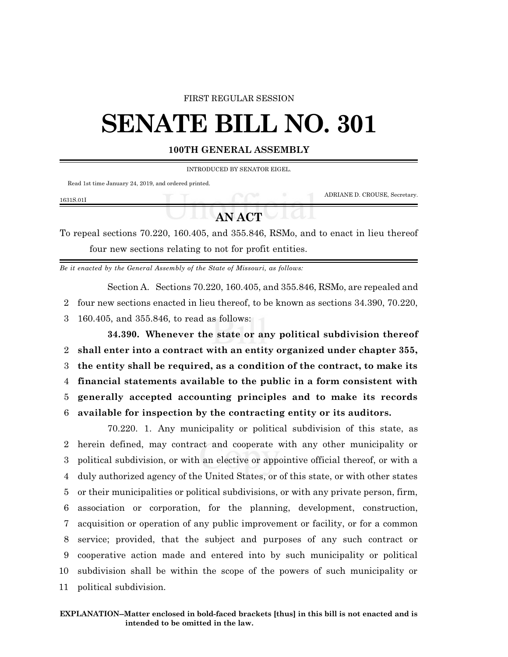### FIRST REGULAR SESSION

# **SENATE BILL NO. 301**

### **100TH GENERAL ASSEMBLY**

INTRODUCED BY SENATOR EIGEL.

Read 1st time January 24, 2019, and ordered printed.

| 1631S.01I |               | ADRIANE D. CROUSE, Secretary. |
|-----------|---------------|-------------------------------|
|           | <b>AN ACT</b> |                               |

To repeal sections 70.220, 160.405, and 355.846, RSMo, and to enact in lieu thereof four new sections relating to not for profit entities.

*Be it enacted by the General Assembly of the State of Missouri, as follows:*

Section A. Sections 70.220, 160.405, and 355.846, RSMo, are repealed and 2 four new sections enacted in lieu thereof, to be known as sections 34.390, 70.220, 3 160.405, and 355.846, to read as follows:

**34.390. Whenever the state or any political subdivision thereof shall enter into a contract with an entity organized under chapter 355, the entity shall be required, as a condition of the contract, to make its financial statements available to the public in a form consistent with generally accepted accounting principles and to make its records available for inspection by the contracting entity or its auditors.**

70.220. 1. Any municipality or political subdivision of this state, as herein defined, may contract and cooperate with any other municipality or political subdivision, or with an elective or appointive official thereof, or with a duly authorized agency of the United States, or of this state, or with other states or their municipalities or political subdivisions, or with any private person, firm, association or corporation, for the planning, development, construction, acquisition or operation of any public improvement or facility, or for a common service; provided, that the subject and purposes of any such contract or cooperative action made and entered into by such municipality or political subdivision shall be within the scope of the powers of such municipality or political subdivision.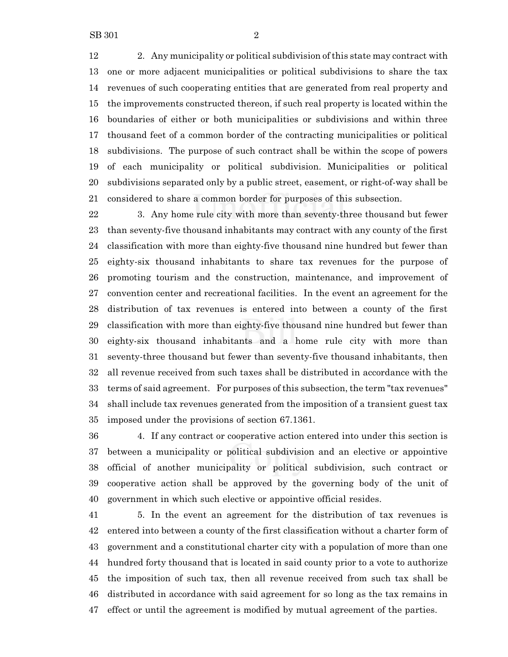2. Any municipality or political subdivision ofthis state may contract with one or more adjacent municipalities or political subdivisions to share the tax revenues of such cooperating entities that are generated from real property and the improvements constructed thereon, if such real property is located within the boundaries of either or both municipalities or subdivisions and within three thousand feet of a common border of the contracting municipalities or political subdivisions. The purpose of such contract shall be within the scope of powers of each municipality or political subdivision. Municipalities or political subdivisions separated only by a public street, easement, or right-of-way shall be considered to share a common border for purposes of this subsection.

 3. Any home rule city with more than seventy-three thousand but fewer than seventy-five thousand inhabitants may contract with any county of the first classification with more than eighty-five thousand nine hundred but fewer than eighty-six thousand inhabitants to share tax revenues for the purpose of promoting tourism and the construction, maintenance, and improvement of convention center and recreational facilities. In the event an agreement for the distribution of tax revenues is entered into between a county of the first classification with more than eighty-five thousand nine hundred but fewer than eighty-six thousand inhabitants and a home rule city with more than seventy-three thousand but fewer than seventy-five thousand inhabitants, then all revenue received from such taxes shall be distributed in accordance with the terms of said agreement. For purposes of this subsection, the term "tax revenues" shall include tax revenues generated from the imposition of a transient guest tax imposed under the provisions of section 67.1361.

 4. If any contract or cooperative action entered into under this section is between a municipality or political subdivision and an elective or appointive official of another municipality or political subdivision, such contract or cooperative action shall be approved by the governing body of the unit of government in which such elective or appointive official resides.

 5. In the event an agreement for the distribution of tax revenues is entered into between a county of the first classification without a charter form of government and a constitutional charter city with a population of more than one hundred forty thousand that is located in said county prior to a vote to authorize the imposition of such tax, then all revenue received from such tax shall be distributed in accordance with said agreement for so long as the tax remains in effect or until the agreement is modified by mutual agreement of the parties.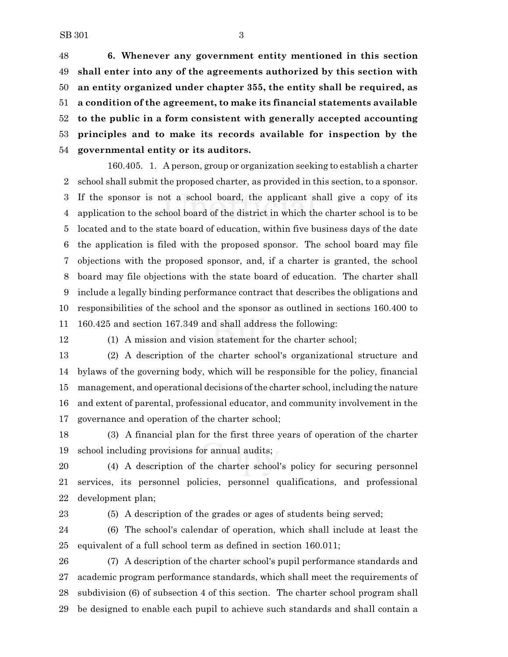**6. Whenever any government entity mentioned in this section shall enter into any of the agreements authorized by this section with an entity organized under chapter 355, the entity shall be required, as a condition of the agreement, to make its financial statements available to the public in a form consistent with generally accepted accounting principles and to make its records available for inspection by the governmental entity or its auditors.**

160.405. 1. A person, group or organization seeking to establish a charter school shall submit the proposed charter, as provided in this section, to a sponsor. If the sponsor is not a school board, the applicant shall give a copy of its application to the school board of the district in which the charter school is to be located and to the state board of education, within five business days of the date the application is filed with the proposed sponsor. The school board may file objections with the proposed sponsor, and, if a charter is granted, the school board may file objections with the state board of education. The charter shall include a legally binding performance contract that describes the obligations and responsibilities of the school and the sponsor as outlined in sections 160.400 to 160.425 and section 167.349 and shall address the following:

(1) A mission and vision statement for the charter school;

 (2) A description of the charter school's organizational structure and bylaws of the governing body, which will be responsible for the policy, financial management, and operational decisions ofthe charter school, including the nature and extent of parental, professional educator, and community involvement in the governance and operation of the charter school;

 (3) A financial plan for the first three years of operation of the charter school including provisions for annual audits;

 (4) A description of the charter school's policy for securing personnel services, its personnel policies, personnel qualifications, and professional development plan;

(5) A description of the grades or ages of students being served;

 (6) The school's calendar of operation, which shall include at least the equivalent of a full school term as defined in section 160.011;

 (7) A description of the charter school's pupil performance standards and academic program performance standards, which shall meet the requirements of subdivision (6) of subsection 4 of this section. The charter school program shall be designed to enable each pupil to achieve such standards and shall contain a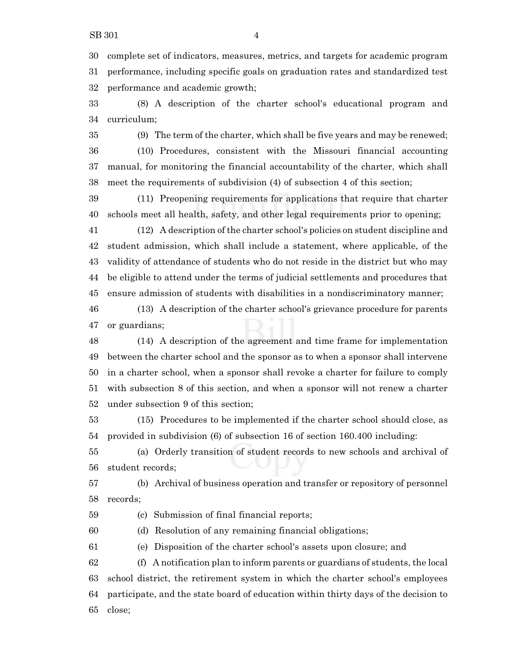complete set of indicators, measures, metrics, and targets for academic program performance, including specific goals on graduation rates and standardized test performance and academic growth;

 (8) A description of the charter school's educational program and curriculum;

 (9) The term of the charter, which shall be five years and may be renewed; (10) Procedures, consistent with the Missouri financial accounting manual, for monitoring the financial accountability of the charter, which shall meet the requirements of subdivision (4) of subsection 4 of this section;

 (11) Preopening requirements for applications that require that charter schools meet all health, safety, and other legal requirements prior to opening;

 (12) A description of the charter school's policies on student discipline and student admission, which shall include a statement, where applicable, of the validity of attendance of students who do not reside in the district but who may be eligible to attend under the terms of judicial settlements and procedures that ensure admission of students with disabilities in a nondiscriminatory manner;

 (13) A description of the charter school's grievance procedure for parents or guardians;

 (14) A description of the agreement and time frame for implementation between the charter school and the sponsor as to when a sponsor shall intervene in a charter school, when a sponsor shall revoke a charter for failure to comply with subsection 8 of this section, and when a sponsor will not renew a charter under subsection 9 of this section;

 (15) Procedures to be implemented if the charter school should close, as provided in subdivision (6) of subsection 16 of section 160.400 including:

 (a) Orderly transition of student records to new schools and archival of student records;

 (b) Archival of business operation and transfer or repository of personnel records;

(c) Submission of final financial reports;

(d) Resolution of any remaining financial obligations;

(e) Disposition of the charter school's assets upon closure; and

 (f) A notification plan to inform parents or guardians of students, the local school district, the retirement system in which the charter school's employees participate, and the state board of education within thirty days of the decision to close;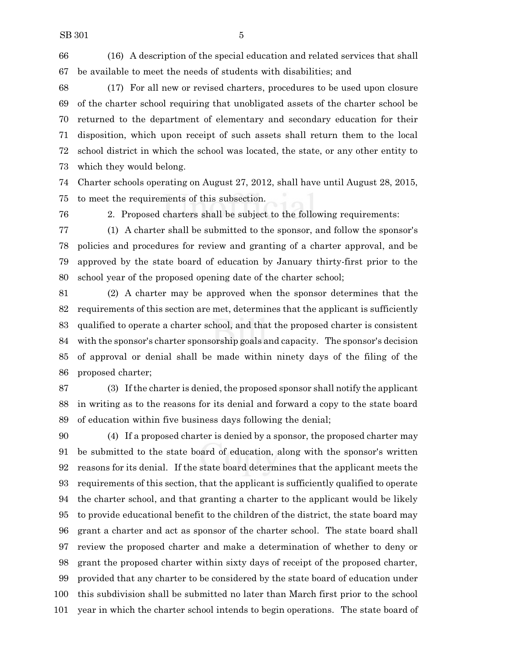(16) A description of the special education and related services that shall be available to meet the needs of students with disabilities; and

 (17) For all new or revised charters, procedures to be used upon closure of the charter school requiring that unobligated assets of the charter school be returned to the department of elementary and secondary education for their disposition, which upon receipt of such assets shall return them to the local school district in which the school was located, the state, or any other entity to which they would belong.

 Charter schools operating on August 27, 2012, shall have until August 28, 2015, to meet the requirements of this subsection.

2. Proposed charters shall be subject to the following requirements:

 (1) A charter shall be submitted to the sponsor, and follow the sponsor's policies and procedures for review and granting of a charter approval, and be approved by the state board of education by January thirty-first prior to the school year of the proposed opening date of the charter school;

 (2) A charter may be approved when the sponsor determines that the requirements of this section are met, determines that the applicant is sufficiently qualified to operate a charter school, and that the proposed charter is consistent with the sponsor's charter sponsorship goals and capacity. The sponsor's decision of approval or denial shall be made within ninety days of the filing of the proposed charter;

 (3) If the charter is denied, the proposed sponsor shall notify the applicant in writing as to the reasons for its denial and forward a copy to the state board of education within five business days following the denial;

 (4) If a proposed charter is denied by a sponsor, the proposed charter may be submitted to the state board of education, along with the sponsor's written reasons for its denial. If the state board determines that the applicant meets the requirements of this section, that the applicant is sufficiently qualified to operate the charter school, and that granting a charter to the applicant would be likely to provide educational benefit to the children of the district, the state board may grant a charter and act as sponsor of the charter school. The state board shall review the proposed charter and make a determination of whether to deny or grant the proposed charter within sixty days of receipt of the proposed charter, provided that any charter to be considered by the state board of education under this subdivision shall be submitted no later than March first prior to the school year in which the charter school intends to begin operations. The state board of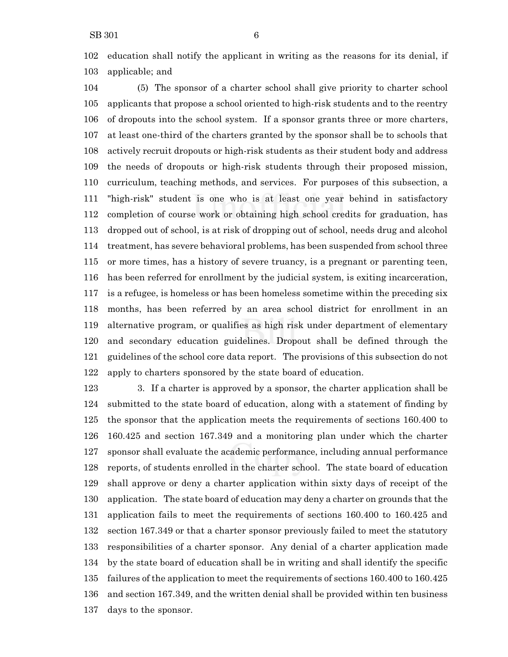education shall notify the applicant in writing as the reasons for its denial, if applicable; and

 (5) The sponsor of a charter school shall give priority to charter school applicants that propose a school oriented to high-risk students and to the reentry of dropouts into the school system. If a sponsor grants three or more charters, at least one-third of the charters granted by the sponsor shall be to schools that actively recruit dropouts or high-risk students as their student body and address the needs of dropouts or high-risk students through their proposed mission, curriculum, teaching methods, and services. For purposes of this subsection, a "high-risk" student is one who is at least one year behind in satisfactory completion of course work or obtaining high school credits for graduation, has dropped out of school, is at risk of dropping out of school, needs drug and alcohol treatment, has severe behavioral problems, has been suspended from school three or more times, has a history of severe truancy, is a pregnant or parenting teen, has been referred for enrollment by the judicial system, is exiting incarceration, is a refugee, is homeless or has been homeless sometime within the preceding six months, has been referred by an area school district for enrollment in an alternative program, or qualifies as high risk under department of elementary and secondary education guidelines. Dropout shall be defined through the guidelines of the school core data report. The provisions of this subsection do not apply to charters sponsored by the state board of education.

 3. If a charter is approved by a sponsor, the charter application shall be submitted to the state board of education, along with a statement of finding by the sponsor that the application meets the requirements of sections 160.400 to 160.425 and section 167.349 and a monitoring plan under which the charter sponsor shall evaluate the academic performance, including annual performance reports, of students enrolled in the charter school. The state board of education shall approve or deny a charter application within sixty days of receipt of the application. The state board of education may deny a charter on grounds that the application fails to meet the requirements of sections 160.400 to 160.425 and section 167.349 or that a charter sponsor previously failed to meet the statutory responsibilities of a charter sponsor. Any denial of a charter application made by the state board of education shall be in writing and shall identify the specific failures of the application to meet the requirements of sections 160.400 to 160.425 and section 167.349, and the written denial shall be provided within ten business days to the sponsor.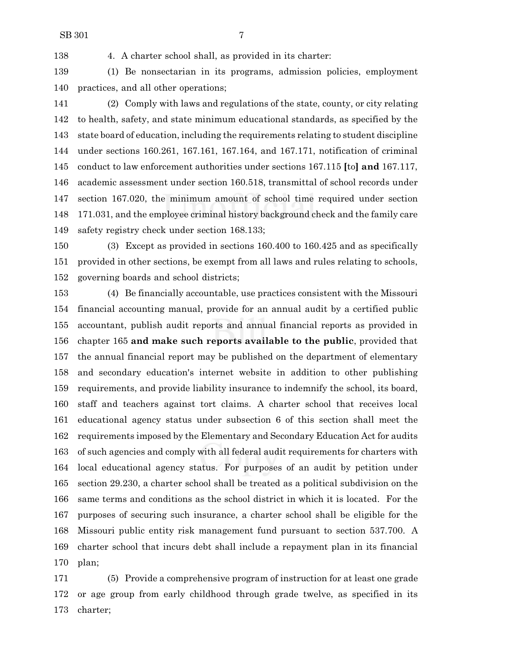4. A charter school shall, as provided in its charter:

 (1) Be nonsectarian in its programs, admission policies, employment practices, and all other operations;

 (2) Comply with laws and regulations of the state, county, or city relating to health, safety, and state minimum educational standards, as specified by the state board of education, including the requirements relating to student discipline under sections 160.261, 167.161, 167.164, and 167.171, notification of criminal conduct to law enforcement authorities under sections 167.115 **[**to**] and** 167.117, academic assessment under section 160.518, transmittal of school records under section 167.020, the minimum amount of school time required under section 171.031, and the employee criminal history background check and the family care safety registry check under section 168.133;

 (3) Except as provided in sections 160.400 to 160.425 and as specifically provided in other sections, be exempt from all laws and rules relating to schools, governing boards and school districts;

 (4) Be financially accountable, use practices consistent with the Missouri financial accounting manual, provide for an annual audit by a certified public accountant, publish audit reports and annual financial reports as provided in chapter 165 **and make such reports available to the public**, provided that the annual financial report may be published on the department of elementary and secondary education's internet website in addition to other publishing requirements, and provide liability insurance to indemnify the school, its board, staff and teachers against tort claims. A charter school that receives local educational agency status under subsection 6 of this section shall meet the requirements imposed by the Elementary and Secondary Education Act for audits of such agencies and comply with all federal audit requirements for charters with local educational agency status. For purposes of an audit by petition under section 29.230, a charter school shall be treated as a political subdivision on the same terms and conditions as the school district in which it is located. For the purposes of securing such insurance, a charter school shall be eligible for the Missouri public entity risk management fund pursuant to section 537.700. A charter school that incurs debt shall include a repayment plan in its financial plan;

 (5) Provide a comprehensive program of instruction for at least one grade or age group from early childhood through grade twelve, as specified in its charter;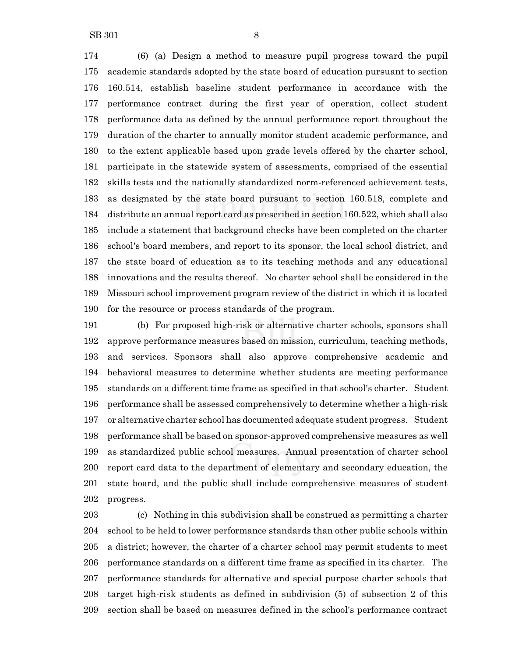SB 301 8

 (6) (a) Design a method to measure pupil progress toward the pupil academic standards adopted by the state board of education pursuant to section 160.514, establish baseline student performance in accordance with the performance contract during the first year of operation, collect student performance data as defined by the annual performance report throughout the duration of the charter to annually monitor student academic performance, and to the extent applicable based upon grade levels offered by the charter school, participate in the statewide system of assessments, comprised of the essential skills tests and the nationally standardized norm-referenced achievement tests, as designated by the state board pursuant to section 160.518, complete and distribute an annual report card as prescribed in section 160.522, which shall also include a statement that background checks have been completed on the charter school's board members, and report to its sponsor, the local school district, and the state board of education as to its teaching methods and any educational innovations and the results thereof. No charter school shall be considered in the Missouri school improvement program review of the district in which it is located

for the resource or process standards of the program.

 (b) For proposed high-risk or alternative charter schools, sponsors shall approve performance measures based on mission, curriculum, teaching methods, and services. Sponsors shall also approve comprehensive academic and behavioral measures to determine whether students are meeting performance standards on a different time frame as specified in that school's charter. Student performance shall be assessed comprehensively to determine whether a high-risk or alternative charter school has documented adequate student progress. Student performance shall be based on sponsor-approved comprehensive measures as well as standardized public school measures. Annual presentation of charter school report card data to the department of elementary and secondary education, the state board, and the public shall include comprehensive measures of student progress.

 (c) Nothing in this subdivision shall be construed as permitting a charter school to be held to lower performance standards than other public schools within a district; however, the charter of a charter school may permit students to meet performance standards on a different time frame as specified in its charter. The performance standards for alternative and special purpose charter schools that target high-risk students as defined in subdivision (5) of subsection 2 of this section shall be based on measures defined in the school's performance contract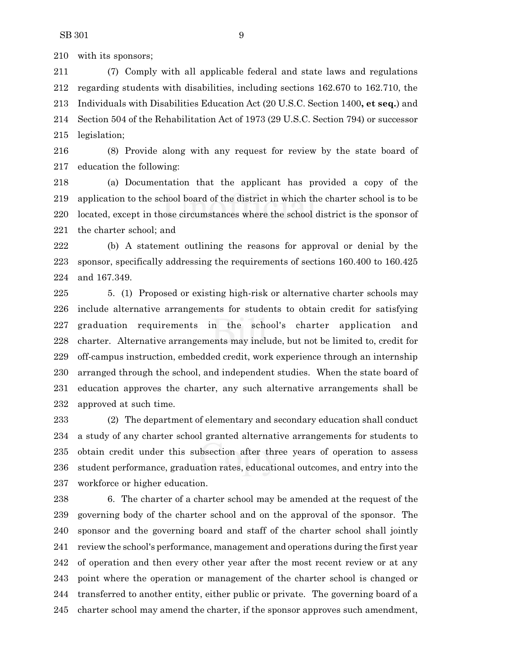with its sponsors;

 (7) Comply with all applicable federal and state laws and regulations regarding students with disabilities, including sections 162.670 to 162.710, the Individuals with Disabilities Education Act (20 U.S.C. Section 1400**, et seq.**) and Section 504 of the Rehabilitation Act of 1973 (29 U.S.C. Section 794) or successor legislation;

 (8) Provide along with any request for review by the state board of education the following:

 (a) Documentation that the applicant has provided a copy of the application to the school board of the district in which the charter school is to be located, except in those circumstances where the school district is the sponsor of the charter school; and

 (b) A statement outlining the reasons for approval or denial by the sponsor, specifically addressing the requirements of sections 160.400 to 160.425 and 167.349.

 5. (1) Proposed or existing high-risk or alternative charter schools may include alternative arrangements for students to obtain credit for satisfying graduation requirements in the school's charter application and charter. Alternative arrangements may include, but not be limited to, credit for off-campus instruction, embedded credit, work experience through an internship arranged through the school, and independent studies. When the state board of education approves the charter, any such alternative arrangements shall be approved at such time.

 (2) The department of elementary and secondary education shall conduct a study of any charter school granted alternative arrangements for students to obtain credit under this subsection after three years of operation to assess student performance, graduation rates, educational outcomes, and entry into the workforce or higher education.

 6. The charter of a charter school may be amended at the request of the governing body of the charter school and on the approval of the sponsor. The sponsor and the governing board and staff of the charter school shall jointly review the school's performance, management and operations during the first year of operation and then every other year after the most recent review or at any point where the operation or management of the charter school is changed or transferred to another entity, either public or private. The governing board of a charter school may amend the charter, if the sponsor approves such amendment,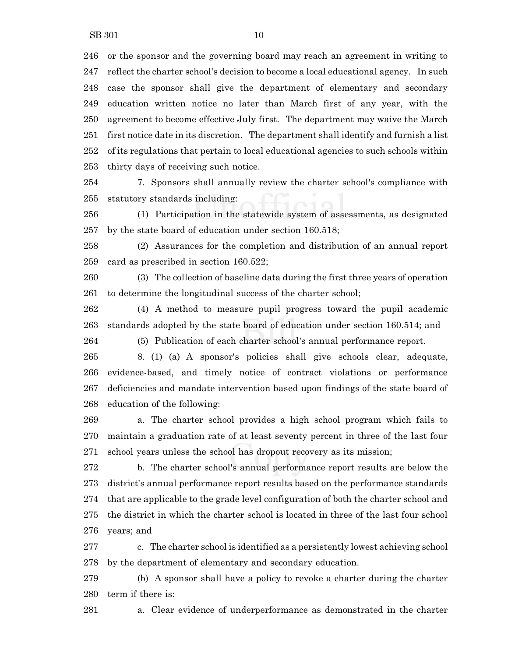or the sponsor and the governing board may reach an agreement in writing to reflect the charter school's decision to become a local educational agency. In such case the sponsor shall give the department of elementary and secondary education written notice no later than March first of any year, with the agreement to become effective July first. The department may waive the March first notice date in its discretion. The department shall identify and furnish a list of its regulations that pertain to local educational agencies to such schools within thirty days of receiving such notice.

 7. Sponsors shall annually review the charter school's compliance with statutory standards including:

 (1) Participation in the statewide system of assessments, as designated by the state board of education under section 160.518;

 (2) Assurances for the completion and distribution of an annual report card as prescribed in section 160.522;

 (3) The collection of baseline data during the first three years of operation to determine the longitudinal success of the charter school;

 (4) A method to measure pupil progress toward the pupil academic standards adopted by the state board of education under section 160.514; and

(5) Publication of each charter school's annual performance report.

 8. (1) (a) A sponsor's policies shall give schools clear, adequate, evidence-based, and timely notice of contract violations or performance deficiencies and mandate intervention based upon findings of the state board of education of the following:

 a. The charter school provides a high school program which fails to maintain a graduation rate of at least seventy percent in three of the last four school years unless the school has dropout recovery as its mission;

 b. The charter school's annual performance report results are below the district's annual performance report results based on the performance standards that are applicable to the grade level configuration of both the charter school and the district in which the charter school is located in three of the last four school years; and

 c. The charter school is identified as a persistently lowest achieving school by the department of elementary and secondary education.

 (b) A sponsor shall have a policy to revoke a charter during the charter term if there is:

a. Clear evidence of underperformance as demonstrated in the charter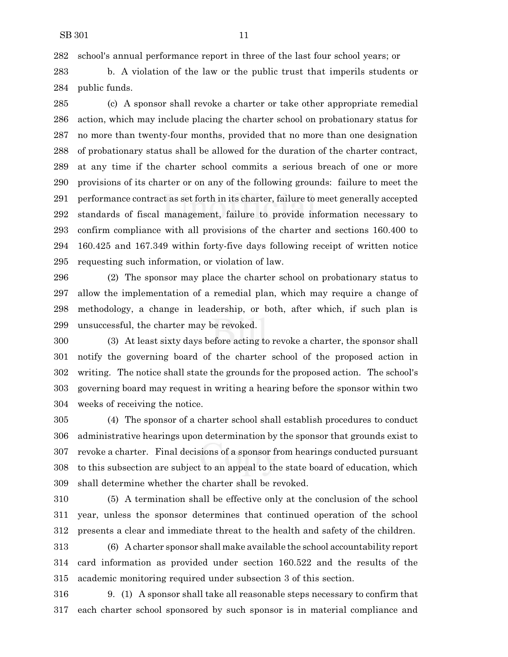school's annual performance report in three of the last four school years; or

 b. A violation of the law or the public trust that imperils students or public funds.

 (c) A sponsor shall revoke a charter or take other appropriate remedial action, which may include placing the charter school on probationary status for no more than twenty-four months, provided that no more than one designation of probationary status shall be allowed for the duration of the charter contract, at any time if the charter school commits a serious breach of one or more provisions of its charter or on any of the following grounds: failure to meet the performance contract as set forth in its charter, failure to meet generally accepted standards of fiscal management, failure to provide information necessary to confirm compliance with all provisions of the charter and sections 160.400 to 160.425 and 167.349 within forty-five days following receipt of written notice requesting such information, or violation of law.

 (2) The sponsor may place the charter school on probationary status to allow the implementation of a remedial plan, which may require a change of methodology, a change in leadership, or both, after which, if such plan is unsuccessful, the charter may be revoked.

 (3) At least sixty days before acting to revoke a charter, the sponsor shall notify the governing board of the charter school of the proposed action in writing. The notice shall state the grounds for the proposed action. The school's governing board may request in writing a hearing before the sponsor within two weeks of receiving the notice.

 (4) The sponsor of a charter school shall establish procedures to conduct administrative hearings upon determination by the sponsor that grounds exist to revoke a charter. Final decisions of a sponsor from hearings conducted pursuant to this subsection are subject to an appeal to the state board of education, which shall determine whether the charter shall be revoked.

 (5) A termination shall be effective only at the conclusion of the school year, unless the sponsor determines that continued operation of the school presents a clear and immediate threat to the health and safety of the children.

 (6) A charter sponsor shall make available the school accountability report card information as provided under section 160.522 and the results of the academic monitoring required under subsection 3 of this section.

 9. (1) A sponsor shall take all reasonable steps necessary to confirm that each charter school sponsored by such sponsor is in material compliance and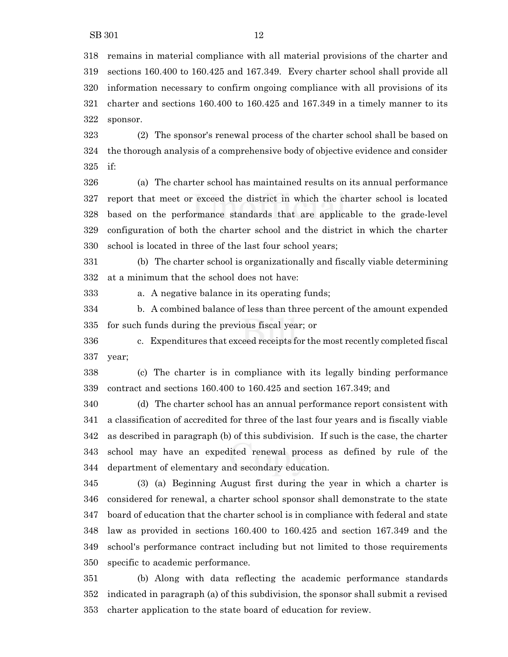remains in material compliance with all material provisions of the charter and sections 160.400 to 160.425 and 167.349. Every charter school shall provide all information necessary to confirm ongoing compliance with all provisions of its charter and sections 160.400 to 160.425 and 167.349 in a timely manner to its sponsor.

 (2) The sponsor's renewal process of the charter school shall be based on the thorough analysis of a comprehensive body of objective evidence and consider if:

 (a) The charter school has maintained results on its annual performance report that meet or exceed the district in which the charter school is located based on the performance standards that are applicable to the grade-level configuration of both the charter school and the district in which the charter school is located in three of the last four school years;

 (b) The charter school is organizationally and fiscally viable determining at a minimum that the school does not have:

a. A negative balance in its operating funds;

 b. A combined balance of less than three percent of the amount expended for such funds during the previous fiscal year; or

 c. Expenditures that exceed receipts for the most recently completed fiscal year;

 (c) The charter is in compliance with its legally binding performance contract and sections 160.400 to 160.425 and section 167.349; and

 (d) The charter school has an annual performance report consistent with a classification of accredited for three of the last four years and is fiscally viable as described in paragraph (b) of this subdivision. If such is the case, the charter school may have an expedited renewal process as defined by rule of the department of elementary and secondary education.

 (3) (a) Beginning August first during the year in which a charter is considered for renewal, a charter school sponsor shall demonstrate to the state board of education that the charter school is in compliance with federal and state law as provided in sections 160.400 to 160.425 and section 167.349 and the school's performance contract including but not limited to those requirements specific to academic performance.

 (b) Along with data reflecting the academic performance standards indicated in paragraph (a) of this subdivision, the sponsor shall submit a revised charter application to the state board of education for review.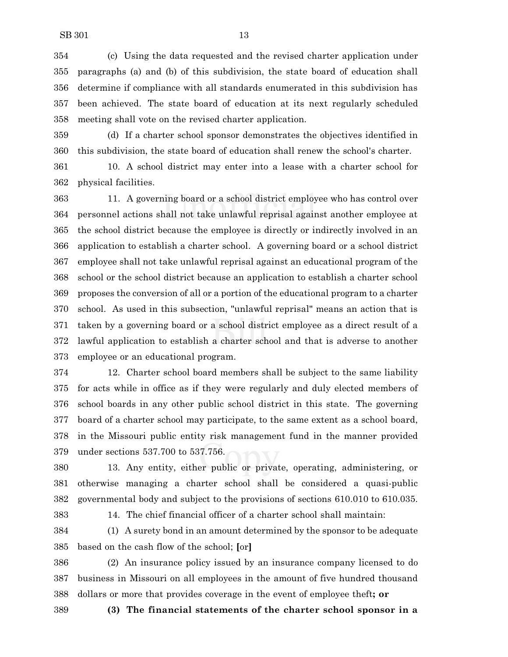(c) Using the data requested and the revised charter application under paragraphs (a) and (b) of this subdivision, the state board of education shall determine if compliance with all standards enumerated in this subdivision has been achieved. The state board of education at its next regularly scheduled meeting shall vote on the revised charter application.

 (d) If a charter school sponsor demonstrates the objectives identified in this subdivision, the state board of education shall renew the school's charter.

 10. A school district may enter into a lease with a charter school for physical facilities.

 11. A governing board or a school district employee who has control over personnel actions shall not take unlawful reprisal against another employee at the school district because the employee is directly or indirectly involved in an application to establish a charter school. A governing board or a school district employee shall not take unlawful reprisal against an educational program of the school or the school district because an application to establish a charter school proposes the conversion of all or a portion of the educational program to a charter school. As used in this subsection, "unlawful reprisal" means an action that is taken by a governing board or a school district employee as a direct result of a lawful application to establish a charter school and that is adverse to another employee or an educational program.

 12. Charter school board members shall be subject to the same liability for acts while in office as if they were regularly and duly elected members of school boards in any other public school district in this state. The governing board of a charter school may participate, to the same extent as a school board, in the Missouri public entity risk management fund in the manner provided under sections 537.700 to 537.756.

 13. Any entity, either public or private, operating, administering, or otherwise managing a charter school shall be considered a quasi-public governmental body and subject to the provisions of sections 610.010 to 610.035.

14. The chief financial officer of a charter school shall maintain:

 (1) A surety bond in an amount determined by the sponsor to be adequate based on the cash flow of the school; **[**or**]**

 (2) An insurance policy issued by an insurance company licensed to do business in Missouri on all employees in the amount of five hundred thousand dollars or more that provides coverage in the event of employee theft**; or**

**(3) The financial statements of the charter school sponsor in a**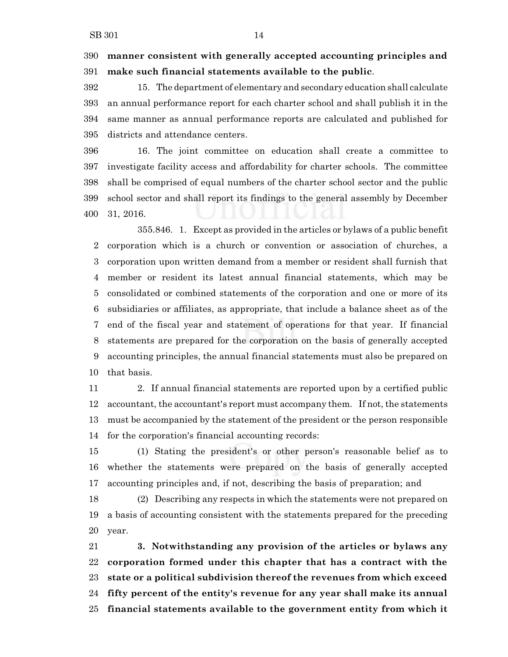## **manner consistent with generally accepted accounting principles and make such financial statements available to the public**.

 15. The department of elementary and secondary education shall calculate an annual performance report for each charter school and shall publish it in the same manner as annual performance reports are calculated and published for districts and attendance centers.

 16. The joint committee on education shall create a committee to investigate facility access and affordability for charter schools. The committee shall be comprised of equal numbers of the charter school sector and the public school sector and shall report its findings to the general assembly by December 31, 2016.

355.846. 1. Except as provided in the articles or bylaws of a public benefit corporation which is a church or convention or association of churches, a corporation upon written demand from a member or resident shall furnish that member or resident its latest annual financial statements, which may be consolidated or combined statements of the corporation and one or more of its subsidiaries or affiliates, as appropriate, that include a balance sheet as of the end of the fiscal year and statement of operations for that year. If financial statements are prepared for the corporation on the basis of generally accepted accounting principles, the annual financial statements must also be prepared on that basis.

 2. If annual financial statements are reported upon by a certified public accountant, the accountant's report must accompany them. If not, the statements must be accompanied by the statement of the president or the person responsible for the corporation's financial accounting records:

 (1) Stating the president's or other person's reasonable belief as to whether the statements were prepared on the basis of generally accepted accounting principles and, if not, describing the basis of preparation; and

 (2) Describing any respects in which the statements were not prepared on a basis of accounting consistent with the statements prepared for the preceding year.

 **3. Notwithstanding any provision of the articles or bylaws any corporation formed under this chapter that has a contract with the state or a political subdivision thereof the revenues from which exceed fifty percent of the entity's revenue for any year shall make its annual financial statements available to the government entity from which it**